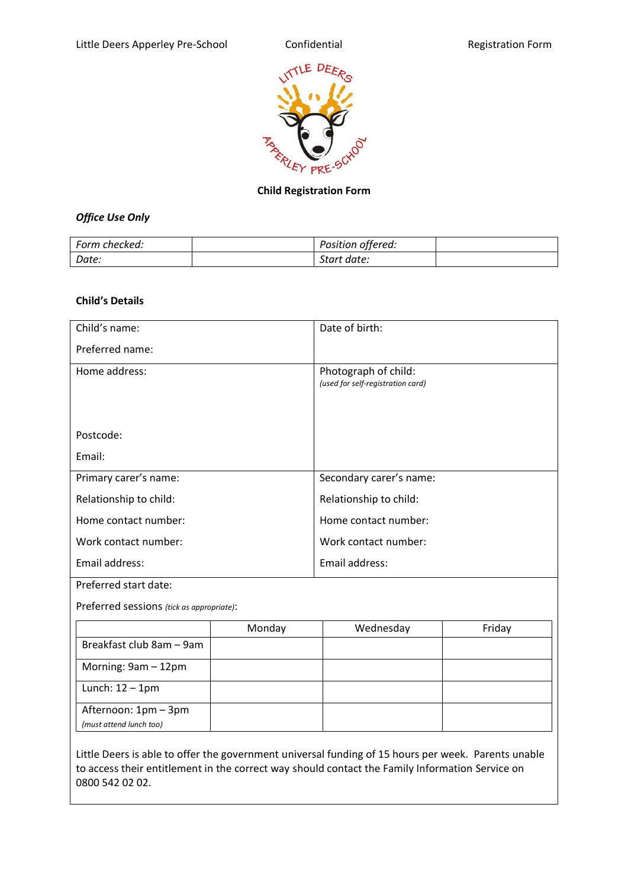

# **Child Registration Form**

# *Office Use Only*

| Form checked: | Position offered: |  |
|---------------|-------------------|--|
| Date:         | Start date:       |  |

#### **Child's Details**

| Child's name:                             | Date of birth:                                            |
|-------------------------------------------|-----------------------------------------------------------|
| Preferred name:                           |                                                           |
| Home address:                             | Photograph of child:<br>(used for self-registration card) |
| Postcode:                                 |                                                           |
| Email:                                    |                                                           |
| Primary carer's name:                     | Secondary carer's name:                                   |
| Relationship to child:                    | Relationship to child:                                    |
| Home contact number:                      | Home contact number:                                      |
| Work contact number:                      | Work contact number:                                      |
| Email address:                            | Email address:                                            |
| Preferred start date:                     |                                                           |
| Preferred sessions (tick as appropriate): |                                                           |

|                          | Monday | Wednesday | Friday |
|--------------------------|--------|-----------|--------|
| Breakfast club 8am - 9am |        |           |        |
| Morning: 9am - 12pm      |        |           |        |
| Lunch: $12 - 1$ pm       |        |           |        |
| Afternoon: 1pm - 3pm     |        |           |        |
| (must attend lunch too)  |        |           |        |

Little Deers is able to offer the government universal funding of 15 hours per week. Parents unable to access their entitlement in the correct way should contact the Family Information Service on 0800 542 02 02.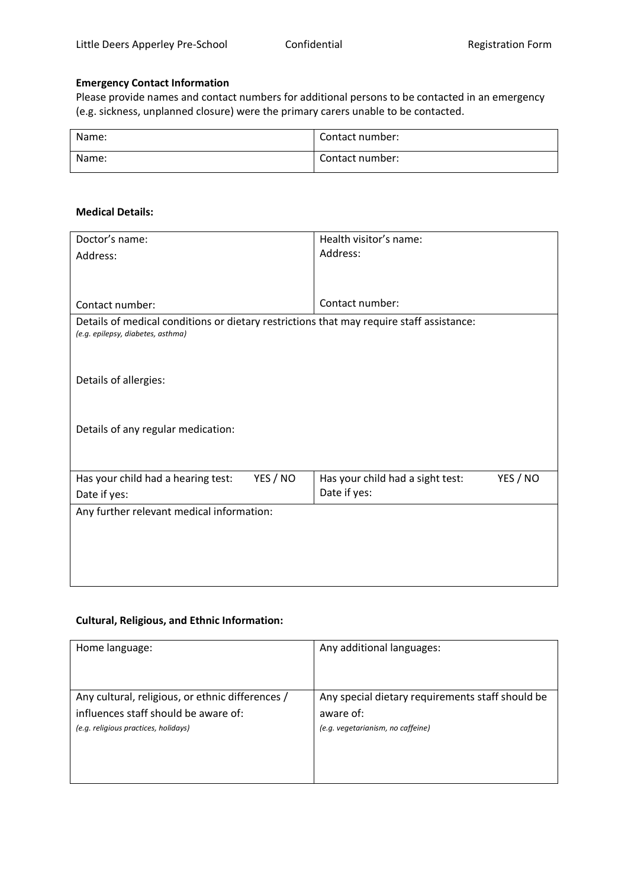## **Emergency Contact Information**

Please provide names and contact numbers for additional persons to be contacted in an emergency (e.g. sickness, unplanned closure) were the primary carers unable to be contacted.

| Name: | Contact number: |
|-------|-----------------|
| Name: | Contact number: |

#### **Medical Details:**

| Doctor's name:                                                                           | Health visitor's name:                                       |  |
|------------------------------------------------------------------------------------------|--------------------------------------------------------------|--|
| Address:                                                                                 | Address:                                                     |  |
|                                                                                          |                                                              |  |
|                                                                                          |                                                              |  |
| Contact number:                                                                          | Contact number:                                              |  |
| Details of medical conditions or dietary restrictions that may require staff assistance: |                                                              |  |
| (e.g. epilepsy, diabetes, asthma)                                                        |                                                              |  |
|                                                                                          |                                                              |  |
|                                                                                          |                                                              |  |
| Details of allergies:                                                                    |                                                              |  |
|                                                                                          |                                                              |  |
|                                                                                          |                                                              |  |
| Details of any regular medication:                                                       |                                                              |  |
|                                                                                          |                                                              |  |
|                                                                                          |                                                              |  |
| YES / NO<br>Has your child had a hearing test:                                           | YES / NO<br>Has your child had a sight test:<br>Date if yes: |  |
| Date if yes:                                                                             |                                                              |  |
| Any further relevant medical information:                                                |                                                              |  |
|                                                                                          |                                                              |  |
|                                                                                          |                                                              |  |
|                                                                                          |                                                              |  |
|                                                                                          |                                                              |  |

# **Cultural, Religious, and Ethnic Information:**

| Home language:                                   | Any additional languages:                        |
|--------------------------------------------------|--------------------------------------------------|
|                                                  |                                                  |
| Any cultural, religious, or ethnic differences / | Any special dietary requirements staff should be |
| influences staff should be aware of:             | aware of:                                        |
| (e.g. religious practices, holidays)             | (e.g. vegetarianism, no caffeine)                |
|                                                  |                                                  |
|                                                  |                                                  |
|                                                  |                                                  |
|                                                  |                                                  |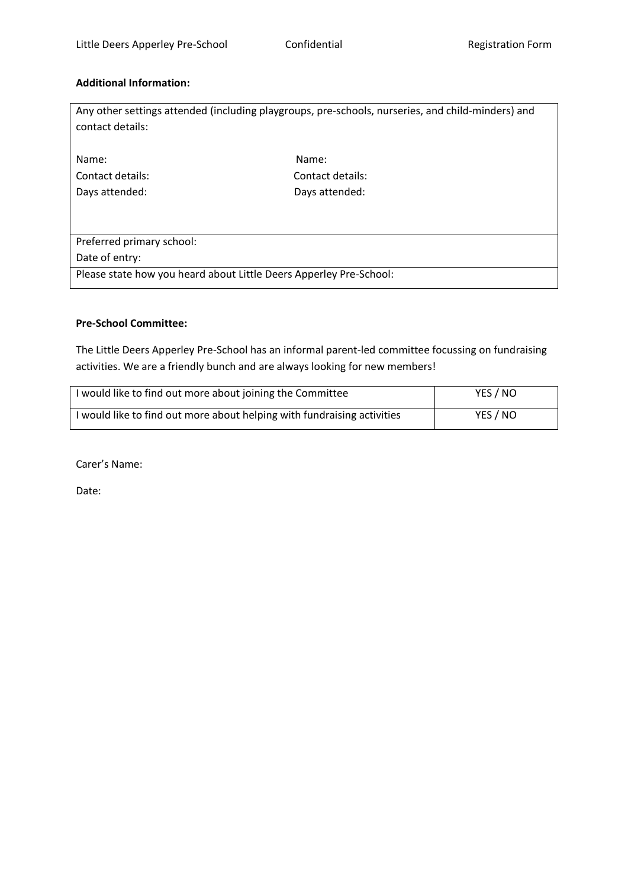## **Additional Information:**

| contact details:                                                   | Any other settings attended (including playgroups, pre-schools, nurseries, and child-minders) and |  |
|--------------------------------------------------------------------|---------------------------------------------------------------------------------------------------|--|
| Name:                                                              | Name:                                                                                             |  |
| Contact details:                                                   | Contact details:                                                                                  |  |
| Days attended:                                                     | Days attended:                                                                                    |  |
|                                                                    |                                                                                                   |  |
| Preferred primary school:                                          |                                                                                                   |  |
| Date of entry:                                                     |                                                                                                   |  |
| Please state how you heard about Little Deers Apperley Pre-School: |                                                                                                   |  |

## **Pre-School Committee:**

The Little Deers Apperley Pre-School has an informal parent-led committee focussing on fundraising activities. We are a friendly bunch and are always looking for new members!

| I would like to find out more about joining the Committee               | YES / NO |
|-------------------------------------------------------------------------|----------|
| I would like to find out more about helping with fundraising activities | YES / NO |

Carer's Name:

Date: